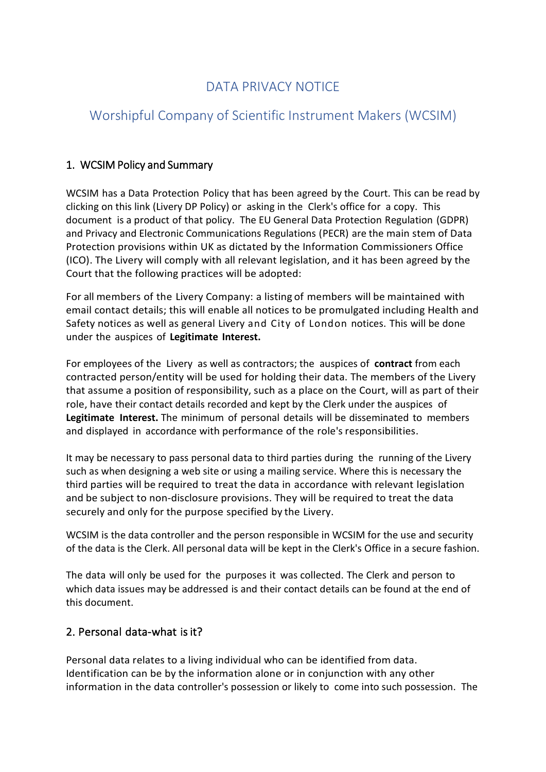## DATA PRIVACY NOTICE

# Worshipful Company of Scientific Instrument Makers (WCSIM)

## 1. WCSIM Policy and Summary

WCSIM has a Data Protection Policy that has been agreed by the Court. This can be read by clicking on this link (Livery DP Policy) or asking in the Clerk's office for a copy. This document is a product of that policy. The EU General Data Protection Regulation (GDPR) and Privacy and Electronic Communications Regulations (PECR) are the main stem of Data Protection provisions within UK as dictated by the Information Commissioners Office (ICO). The Livery will comply with all relevant legislation, and it has been agreed by the Court that the following practices will be adopted:

For all members of the Livery Company: a listing of members will be maintained with email contact details; this will enable all notices to be promulgated including Health and Safety notices as well as general Livery and City of London notices. This will be done under the auspices of **Legitimate Interest.**

For employees of the Livery as well as contractors; the auspices of **contract** from each contracted person/entity will be used for holding their data. The members of the Livery that assume a position of responsibility, such as a place on the Court, will as part of their role, have their contact details recorded and kept by the Clerk under the auspices of **Legitimate Interest.** The minimum of personal details will be disseminated to members and displayed in accordance with performance of the role's responsibilities.

It may be necessary to pass personal data to third parties during the running of the Livery such as when designing a web site or using a mailing service. Where this is necessary the third parties will be required to treat the data in accordance with relevant legislation and be subject to non-disclosure provisions. They will be required to treat the data securely and only for the purpose specified by the Livery.

WCSIM is the data controller and the person responsible in WCSIM for the use and security of the data is the Clerk. All personal data will be kept in the Clerk's Office in a secure fashion.

The data will only be used for the purposes it was collected. The Clerk and person to which data issues may be addressed is and their contact details can be found at the end of this document.

#### 2. Personal data-what is it?

Personal data relates to a living individual who can be identified from data. Identification can be by the information alone or in conjunction with any other information in the data controller's possession or likely to come into such possession. The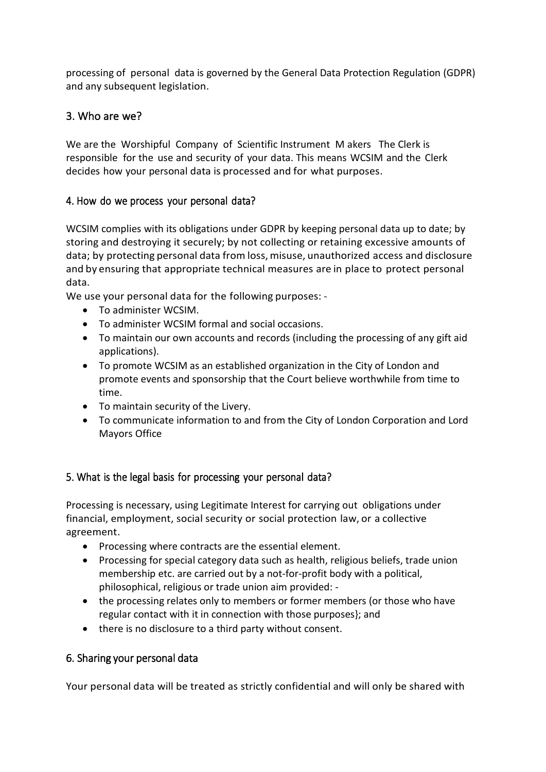processing of personal data is governed by the General Data Protection Regulation (GDPR) and any subsequent legislation.

## 3. Who are we?

We are the Worshipful Company of Scientific Instrument M akers The Clerk is responsible for the use and security of your data. This means WCSIM and the Clerk decides how your personal data is processed and for what purposes.

#### 4. How do we process your personal data?

WCSIM complies with its obligations under GDPR by keeping personal data up to date; by storing and destroying it securely; by not collecting or retaining excessive amounts of data; by protecting personal data from loss, misuse, unauthorized access and disclosure and by ensuring that appropriate technical measures are in place to protect personal data.

We use your personal data for the following purposes: -

- To administer WCSIM.
- To administer WCSIM formal and social occasions.
- To maintain our own accounts and records (including the processing of any gift aid applications).
- To promote WCSIM as an established organization in the City of London and promote events and sponsorship that the Court believe worthwhile from time to time.
- To maintain security of the Livery.
- To communicate information to and from the City of London Corporation and Lord Mayors Office

## 5. What is the legal basis for processing your personal data?

Processing is necessary, using Legitimate Interest for carrying out obligations under financial, employment, social security or social protection law, or a collective agreement.

- Processing where contracts are the essential element.
- Processing for special category data such as health, religious beliefs, trade union membership etc. are carried out by a not-for-profit body with a political, philosophical, religious or trade union aim provided: -
- the processing relates only to members or former members (or those who have regular contact with it in connection with those purposes}; and
- there is no disclosure to a third party without consent.

## 6. Sharing your personal data

Your personal data will be treated as strictly confidential and will only be shared with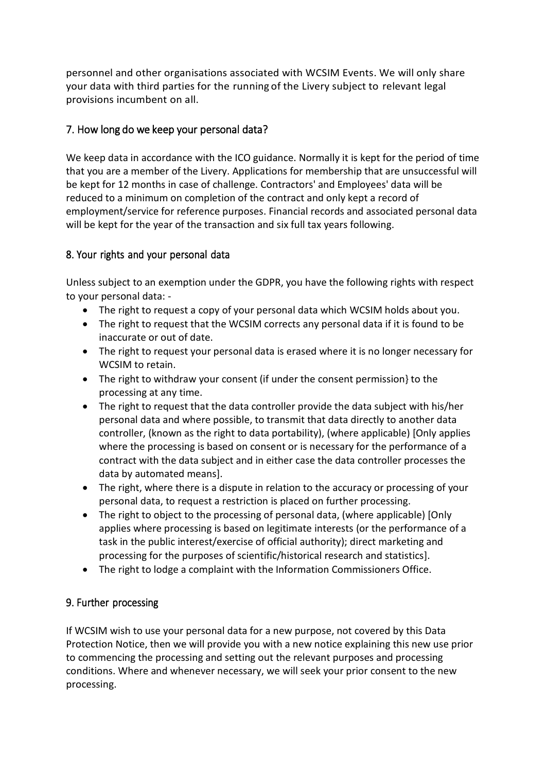personnel and other organisations associated with WCSIM Events. We will only share your data with third parties for the running of the Livery subject to relevant legal provisions incumbent on all.

## 7. How long do we keep your personal data?

We keep data in accordance with the ICO guidance. Normally it is kept for the period of time that you are a member of the Livery. Applications for membership that are unsuccessful will be kept for 12 months in case of challenge. Contractors' and Employees' data will be reduced to a minimum on completion of the contract and only kept a record of employment/service for reference purposes. Financial records and associated personal data will be kept for the year of the transaction and six full tax years following.

#### 8. Your rights and your personal data

Unless subject to an exemption under the GDPR, you have the following rights with respect to your personal data: -

- The right to request a copy of your personal data which WCSIM holds about you.
- The right to request that the WCSIM corrects any personal data if it is found to be inaccurate or out of date.
- The right to request your personal data is erased where it is no longer necessary for WCSIM to retain.
- The right to withdraw your consent (if under the consent permission} to the processing at any time.
- The right to request that the data controller provide the data subject with his/her personal data and where possible, to transmit that data directly to another data controller, (known as the right to data portability), (where applicable) [Only applies where the processing is based on consent or is necessary for the performance of a contract with the data subject and in either case the data controller processes the data by automated means].
- The right, where there is a dispute in relation to the accuracy or processing of your personal data, to request a restriction is placed on further processing.
- The right to object to the processing of personal data, (where applicable) [Only applies where processing is based on legitimate interests (or the performance of a task in the public interest/exercise of official authority); direct marketing and processing for the purposes of scientific/historical research and statistics].
- The right to lodge a complaint with the Information Commissioners Office.

## 9. Further processing

If WCSIM wish to use your personal data for a new purpose, not covered by this Data Protection Notice, then we will provide you with a new notice explaining this new use prior to commencing the processing and setting out the relevant purposes and processing conditions. Where and whenever necessary, we will seek your prior consent to the new processing.